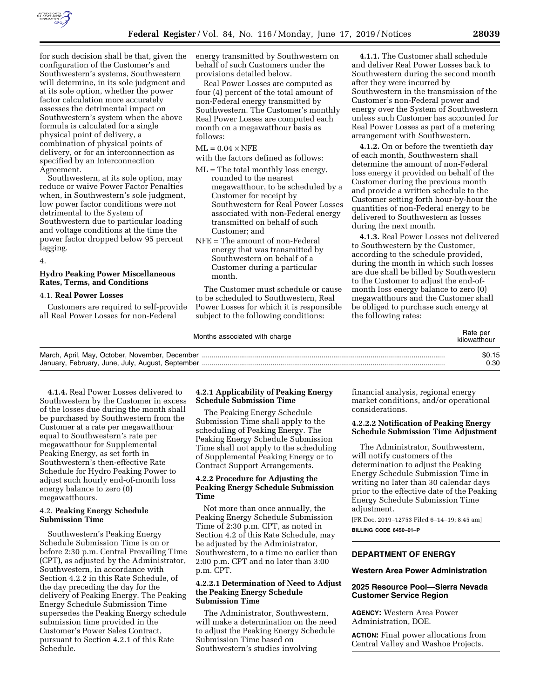

for such decision shall be that, given the configuration of the Customer's and Southwestern's systems, Southwestern will determine, in its sole judgment and at its sole option, whether the power factor calculation more accurately assesses the detrimental impact on Southwestern's system when the above formula is calculated for a single physical point of delivery, a combination of physical points of delivery, or for an interconnection as specified by an Interconnection Agreement.

Southwestern, at its sole option, may reduce or waive Power Factor Penalties when, in Southwestern's sole judgment, low power factor conditions were not detrimental to the System of Southwestern due to particular loading and voltage conditions at the time the power factor dropped below 95 percent lagging.

4.

# **Hydro Peaking Power Miscellaneous Rates, Terms, and Conditions**

### 4.1. **Real Power Losses**

Customers are required to self-provide all Real Power Losses for non-Federal

energy transmitted by Southwestern on behalf of such Customers under the provisions detailed below.

Real Power Losses are computed as four (4) percent of the total amount of non-Federal energy transmitted by Southwestern. The Customer's monthly Real Power Losses are computed each month on a megawatthour basis as follows:

### $ML = 0.04 \times NFE$

with the factors defined as follows:

- ML = The total monthly loss energy, rounded to the nearest megawatthour, to be scheduled by a Customer for receipt by Southwestern for Real Power Losses associated with non-Federal energy transmitted on behalf of such Customer; and
- NFE = The amount of non-Federal energy that was transmitted by Southwestern on behalf of a Customer during a particular month.

The Customer must schedule or cause to be scheduled to Southwestern, Real Power Losses for which it is responsible subject to the following conditions:

**4.1.1.** The Customer shall schedule and deliver Real Power Losses back to Southwestern during the second month after they were incurred by Southwestern in the transmission of the Customer's non-Federal power and energy over the System of Southwestern unless such Customer has accounted for Real Power Losses as part of a metering arrangement with Southwestern.

**4.1.2.** On or before the twentieth day of each month, Southwestern shall determine the amount of non-Federal loss energy it provided on behalf of the Customer during the previous month and provide a written schedule to the Customer setting forth hour-by-hour the quantities of non-Federal energy to be delivered to Southwestern as losses during the next month.

**4.1.3.** Real Power Losses not delivered to Southwestern by the Customer, according to the schedule provided, during the month in which such losses are due shall be billed by Southwestern to the Customer to adjust the end-ofmonth loss energy balance to zero (0) megawatthours and the Customer shall be obliged to purchase such energy at the following rates:

| Months associated with charge | Rate per<br>kilowatthour |
|-------------------------------|--------------------------|
|                               | \$0.15                   |
|                               | 0.30                     |

**4.1.4.** Real Power Losses delivered to Southwestern by the Customer in excess of the losses due during the month shall be purchased by Southwestern from the Customer at a rate per megawatthour equal to Southwestern's rate per megawatthour for Supplemental Peaking Energy, as set forth in Southwestern's then-effective Rate Schedule for Hydro Peaking Power to adjust such hourly end-of-month loss energy balance to zero (0) megawatthours.

#### 4.2. **Peaking Energy Schedule Submission Time**

Southwestern's Peaking Energy Schedule Submission Time is on or before 2:30 p.m. Central Prevailing Time (CPT), as adjusted by the Administrator, Southwestern, in accordance with Section 4.2.2 in this Rate Schedule, of the day preceding the day for the delivery of Peaking Energy. The Peaking Energy Schedule Submission Time supersedes the Peaking Energy schedule submission time provided in the Customer's Power Sales Contract, pursuant to Section 4.2.1 of this Rate Schedule.

# **4.2.1 Applicability of Peaking Energy Schedule Submission Time**

The Peaking Energy Schedule Submission Time shall apply to the scheduling of Peaking Energy. The Peaking Energy Schedule Submission Time shall not apply to the scheduling of Supplemental Peaking Energy or to Contract Support Arrangements.

# **4.2.2 Procedure for Adjusting the Peaking Energy Schedule Submission Time**

Not more than once annually, the Peaking Energy Schedule Submission Time of 2:30 p.m. CPT, as noted in Section 4.2 of this Rate Schedule, may be adjusted by the Administrator, Southwestern, to a time no earlier than 2:00 p.m. CPT and no later than 3:00 p.m. CPT.

### **4.2.2.1 Determination of Need to Adjust the Peaking Energy Schedule Submission Time**

The Administrator, Southwestern, will make a determination on the need to adjust the Peaking Energy Schedule Submission Time based on Southwestern's studies involving

financial analysis, regional energy market conditions, and/or operational considerations.

# **4.2.2.2 Notification of Peaking Energy Schedule Submission Time Adjustment**

The Administrator, Southwestern, will notify customers of the determination to adjust the Peaking Energy Schedule Submission Time in writing no later than 30 calendar days prior to the effective date of the Peaking Energy Schedule Submission Time adjustment.

[FR Doc. 2019–12753 Filed 6–14–19; 8:45 am] **BILLING CODE 6450–01–P** 

# **DEPARTMENT OF ENERGY**

### **Western Area Power Administration**

# **2025 Resource Pool—Sierra Nevada Customer Service Region**

**AGENCY:** Western Area Power Administration, DOE.

**ACTION:** Final power allocations from Central Valley and Washoe Projects.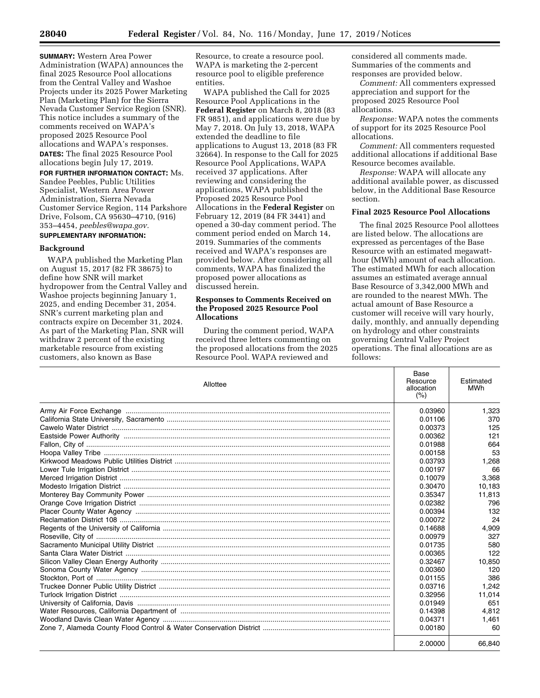**SUMMARY:** Western Area Power Administration (WAPA) announces the final 2025 Resource Pool allocations from the Central Valley and Washoe Projects under its 2025 Power Marketing Plan (Marketing Plan) for the Sierra Nevada Customer Service Region (SNR). This notice includes a summary of the comments received on WAPA's proposed 2025 Resource Pool allocations and WAPA's responses. **DATES:** The final 2025 Resource Pool allocations begin July 17, 2019. **FOR FURTHER INFORMATION CONTACT:** Ms. Sandee Peebles, Public Utilities Specialist, Western Area Power Administration, Sierra Nevada Customer Service Region, 114 Parkshore Drive, Folsom, CA 95630–4710, (916) 353–4454, *[peebles@wapa.gov.](mailto:peebles@wapa.gov)*  **SUPPLEMENTARY INFORMATION:** 

#### **Background**

WAPA published the Marketing Plan on August 15, 2017 (82 FR 38675) to define how SNR will market hydropower from the Central Valley and Washoe projects beginning January 1, 2025, and ending December 31, 2054. SNR's current marketing plan and contracts expire on December 31, 2024. As part of the Marketing Plan, SNR will withdraw 2 percent of the existing marketable resource from existing customers, also known as Base

Resource, to create a resource pool. WAPA is marketing the 2-percent resource pool to eligible preference entities.

WAPA published the Call for 2025 Resource Pool Applications in the **Federal Register** on March 8, 2018 (83 FR 9851), and applications were due by May 7, 2018. On July 13, 2018, WAPA extended the deadline to file applications to August 13, 2018 (83 FR 32664). In response to the Call for 2025 Resource Pool Applications, WAPA received 37 applications. After reviewing and considering the applications, WAPA published the Proposed 2025 Resource Pool Allocations in the **Federal Register** on February 12, 2019 (84 FR 3441) and opened a 30-day comment period. The comment period ended on March 14, 2019. Summaries of the comments received and WAPA's responses are provided below. After considering all comments, WAPA has finalized the proposed power allocations as discussed herein.

## **Responses to Comments Received on the Proposed 2025 Resource Pool Allocations**

During the comment period, WAPA received three letters commenting on the proposed allocations from the 2025 Resource Pool. WAPA reviewed and

considered all comments made. Summaries of the comments and responses are provided below.

*Comment:* All commenters expressed appreciation and support for the proposed 2025 Resource Pool allocations.

*Response:* WAPA notes the comments of support for its 2025 Resource Pool allocations.

*Comment:* All commenters requested additional allocations if additional Base Resource becomes available.

*Response:* WAPA will allocate any additional available power, as discussed below, in the Additional Base Resource section.

# **Final 2025 Resource Pool Allocations**

The final 2025 Resource Pool allottees are listed below. The allocations are expressed as percentages of the Base Resource with an estimated megawatthour (MWh) amount of each allocation. The estimated MWh for each allocation assumes an estimated average annual Base Resource of 3,342,000 MWh and are rounded to the nearest MWh. The actual amount of Base Resource a customer will receive will vary hourly, daily, monthly, and annually depending on hydrology and other constraints governing Central Valley Project operations. The final allocations are as  $follows$ 

| Allottee | Base<br>Resource<br>allocation<br>(%) | Estimated<br><b>MWh</b> |
|----------|---------------------------------------|-------------------------|
|          | 0.03960                               | 1,323                   |
|          | 0.01106                               | 370                     |
|          | 0.00373                               | 125                     |
|          | 0.00362                               | 121                     |
|          | 0.01988                               | 664                     |
|          | 0.00158                               | 53                      |
|          | 0.03793                               | 1,268                   |
|          | 0.00197                               | 66                      |
|          | 0.10079                               | 3,368                   |
|          | 0.30470                               | 10,183                  |
|          | 0.35347                               | 11,813                  |
|          | 0.02382                               | 796                     |
|          | 0.00394                               | 132                     |
|          | 0.00072                               | 24                      |
|          | 0.14688                               | 4.909                   |
|          | 0.00979                               | 327                     |
|          | 0.01735                               | 580                     |
|          | 0.00365                               | 122                     |
|          | 0.32467                               | 10.850                  |
|          | 0.00360                               | 120                     |
|          | 0.01155                               | 386                     |
|          | 0.03716                               | 1.242                   |
|          | 0.32956                               | 11,014                  |
|          | 0.01949                               | 651                     |
|          | 0.14398                               | 4.812                   |
|          | 0.04371                               | 1,461                   |
|          | 0.00180                               | 60                      |
|          | 2.00000                               | 66,840                  |